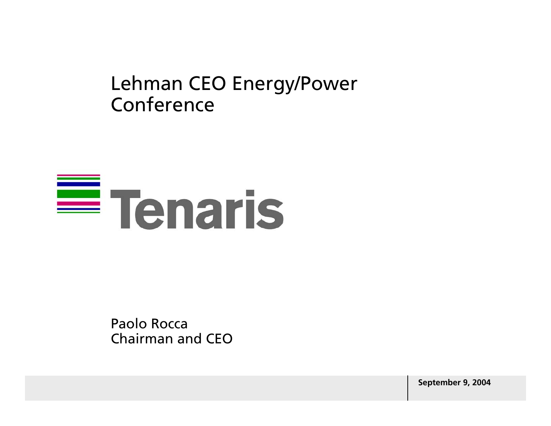### Lehman CEO Energy/Power Conference

# $\equiv$  Tenaris

Paolo Rocca Chairman and CEO

**September 9, 2004**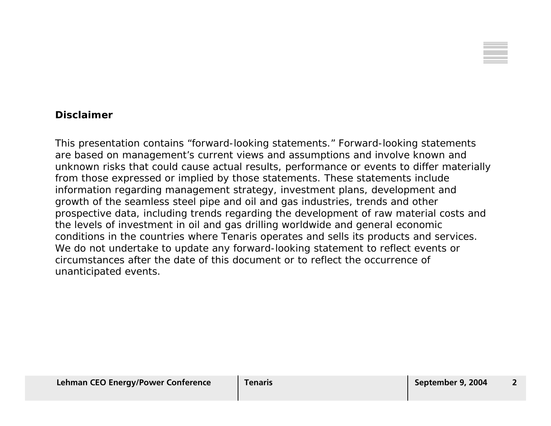

#### **Disclaimer**

This presentation contains "forward-looking statements." Forward-looking statements are based on management's current views and assumptions and involve known and unknown risks that could cause actual results, performance or events to differ materially from those expressed or implied by those statements. These statements include information regarding management strategy, investment plans, development and growth of the seamless steel pipe and oil and gas industries, trends and other prospective data, including trends regarding the development of raw material costs and the levels of investment in oil and gas drilling worldwide and general economic conditions in the countries where Tenaris operates and sells its products and services. We do not undertake to update any forward-looking statement to reflect events or circumstances after the date of this document or to reflect the occurrence ofunanticipated events.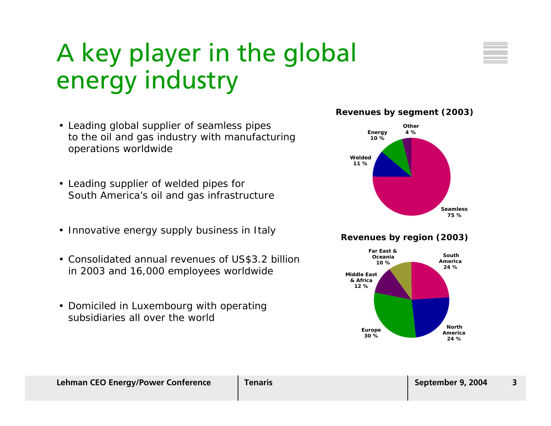### A key player in the global energy industry

- Leading global supplier of seamless pipes to the oil and gas industry with manufacturing operations worldwide
- Leading supplier of welded pipes for South America's oil and gas infrastructure
- Innovative energy supply business in Italy
- Consolidated annual revenues of US\$3.2 billion in 2003 and 16,000 employees worldwide
- Domiciled in Luxembourg with operating subsidiaries all over the world

#### **Revenues by segment (2003)**



#### **Revenues by region (2003)**

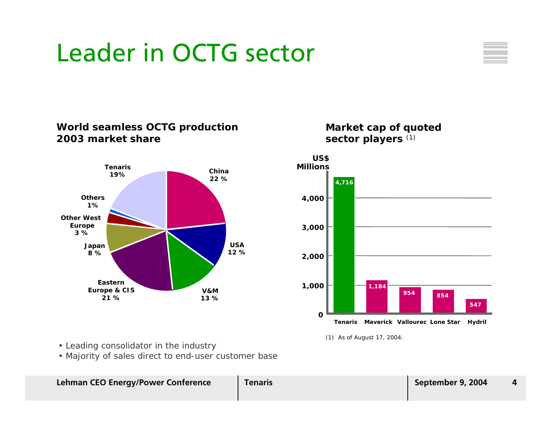### Leader in OCTG sector



#### **World seamless OCTG production 2003 market share**



#### **Market cap of quoted sector players** (1)



(1) As of August 17, 2004.

- Leading consolidator in the industry
- Majority of sales direct to end-user customer base

| <b>Lehman CEO Energy/Power Conference</b> | <b>Tenaris</b> | September 9, 2004 |  |
|-------------------------------------------|----------------|-------------------|--|
|                                           |                |                   |  |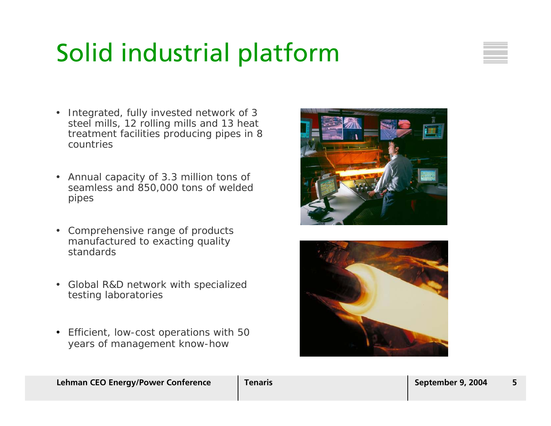### Solid industrial platform



- Integrated, fully invested network of 3 steel mills, 12 rolling mills and 13 heat treatment facilities producing pipes in 8 countries
- Annual capacity of 3.3 million tons of seamless and 850,000 tons of welded pipes
- Comprehensive range of products manufactured to exacting quality standards
- Global R&D network with specialized testing laboratories
- Efficient, low-cost operations with 50 years of management know-how



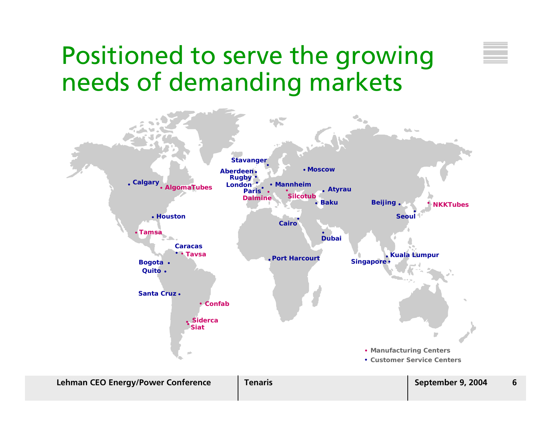### Positioned to serve the growing needs of demanding markets

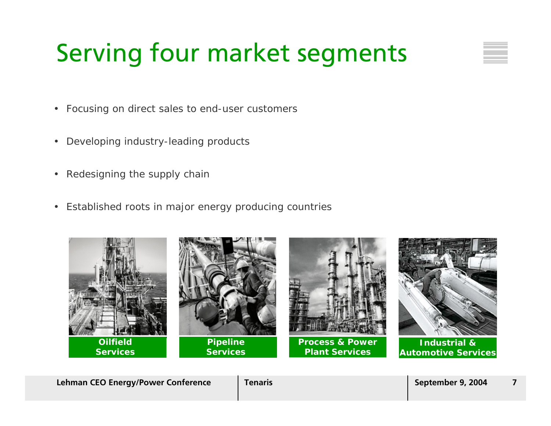## Serving four market segments

- Focusing on direct sales to end-user customers
- Developing industry-leading products
- •Redesigning the supply chain
- Established roots in major energy producing countries



**Lehman CEO Energy/Power Conference**  $\vert$  Tenaris  $\vert$  Tenaris  $\vert$  September 9, 2004  $\vert$  7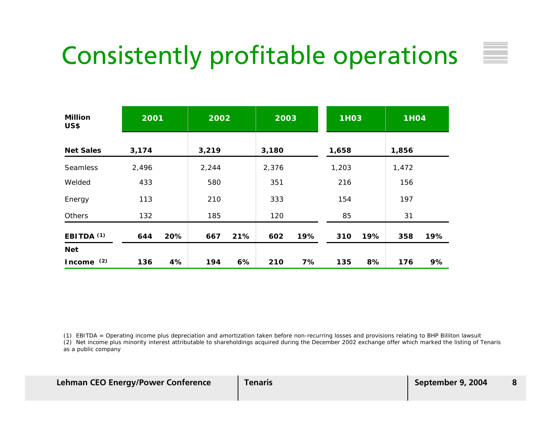### Consistently profitable operations

| <b>Million</b><br>US\$ | 2001  |     | 2002  |     | 2003  |     | <b>1H03</b> |     | <b>1H04</b> |     |
|------------------------|-------|-----|-------|-----|-------|-----|-------------|-----|-------------|-----|
| <b>Net Sales</b>       | 3,174 |     | 3,219 |     | 3,180 |     | 1,658       |     | 1,856       |     |
| <b>Seamless</b>        | 2,496 |     | 2,244 |     | 2,376 |     | 1,203       |     | 1,472       |     |
| Welded                 | 433   |     | 580   |     | 351   |     | 216         |     | 156         |     |
| Energy                 | 113   |     | 210   |     | 333   |     | 154         |     | 197         |     |
| Others                 | 132   |     | 185   |     | 120   |     | 85          |     | 31          |     |
| EBITDA <sup>(1)</sup>  | 644   | 20% | 667   | 21% | 602   | 19% | 310         | 19% | 358         | 19% |
| <b>Net</b>             |       |     |       |     |       |     |             |     |             |     |
| (2)<br><b>Income</b>   | 136   | 4%  | 194   | 6%  | 210   | 7%  | 135         | 8%  | 176         | 9%  |

(1) EBITDA = Operating income plus depreciation and amortization taken before non-recurring losses and provisions relating to BHP Billiton lawsuit

(2) Net income plus minority interest attributable to shareholdings acquired during the December 2002 exchange offer which marked the listing of Tenaris as a public company

| <b>Lehman CEO Energy/Power Conference</b> | <b>Tenaris</b> | September 9, 2004 |  |
|-------------------------------------------|----------------|-------------------|--|
|                                           |                |                   |  |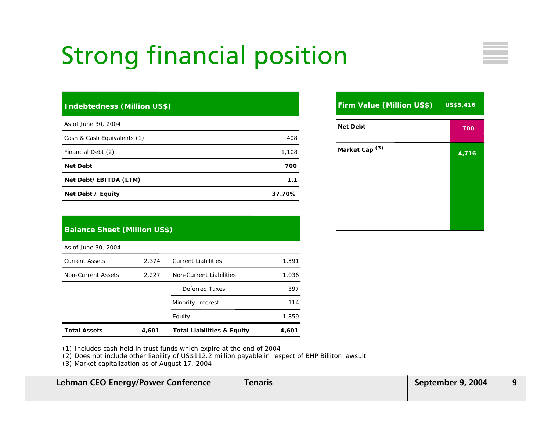### Strong financial position

#### **Indebtedness (Million US\$)**

| As of June 30, 2004         |        |
|-----------------------------|--------|
| Cash & Cash Equivalents (1) | 408    |
| Financial Debt (2)          | 1,108  |
| <b>Net Debt</b>             | 700    |
| Net Debt/EBITDA (LTM)       | 1.1    |
| Net Debt / Equity           | 37.70% |

#### **Firm Value (Million US\$) Net DebtMarket Cap (3) 7004,716 US\$5,416**

#### **Balance Sheet (Million US\$)**

As of June 30, 2004

| <b>Total Assets</b>   | 4,601 | <b>Total Liabilities &amp; Equity</b> | 4,601 |
|-----------------------|-------|---------------------------------------|-------|
|                       |       | Equity                                | 1,859 |
|                       |       | Minority Interest                     | 114   |
|                       |       | Deferred Taxes                        | 397   |
| Non-Current Assets    | 2,227 | Non-Current Liabilities               | 1,036 |
| <b>Current Assets</b> | 2.374 | <b>Current Liabilities</b>            | 1,591 |

(1) Includes cash held in trust funds which expire at the end of 2004

(2) Does not include other liability of US\$112.2 million payable in respect of BHP Billiton lawsuit

(3) Market capitalization as of August 17, 2004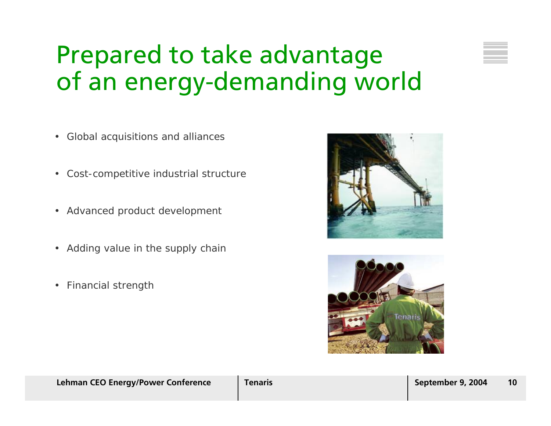### Prepared to take advantage of an energy-demanding world

- Global acquisitions and alliances
- •Cost-competitive industrial structure
- Advanced product development
- Adding value in the supply chair
- •Financial strength